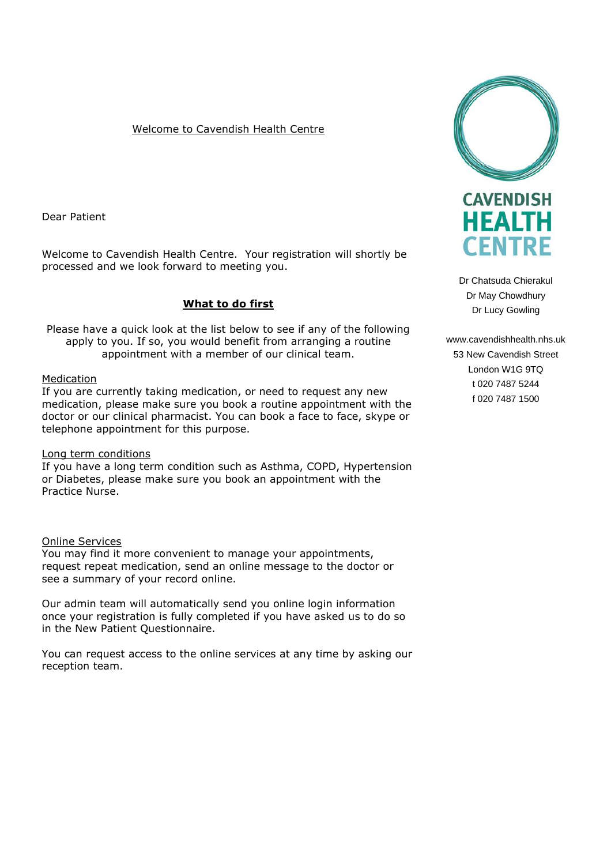### Welcome to Cavendish Health Centre

Dear Patient

Welcome to Cavendish Health Centre. Your registration will shortly be processed and we look forward to meeting you.

# **What to do first**

Please have a quick look at the list below to see if any of the following apply to you. If so, you would benefit from arranging a routine appointment with a member of our clinical team.

### Medication

If you are currently taking medication, or need to request any new medication, please make sure you book a routine appointment with the doctor or our clinical pharmacist. You can book a face to face, skype or telephone appointment for this purpose.

#### Long term conditions

If you have a long term condition such as Asthma, COPD, Hypertension or Diabetes, please make sure you book an appointment with the Practice Nurse.

#### Online Services

You may find it more convenient to manage your appointments, request repeat medication, send an online message to the doctor or see a summary of your record online.

Our admin team will automatically send you online login information once your registration is fully completed if you have asked us to do so in the New Patient Questionnaire.

You can request access to the online services at any time by asking our reception team.



Dr Chatsuda Chierakul Dr May Chowdhury Dr Lucy Gowling

www.cavendishhealth.nhs.uk 53 New Cavendish Street London W1G 9TQ t 020 7487 5244 f 020 7487 1500